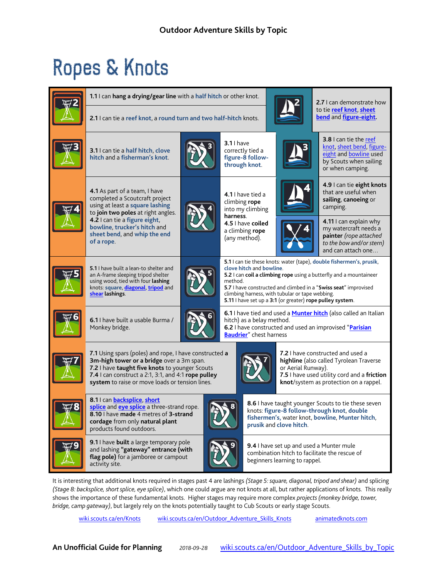## Ropes & Knots



It is interesting that additional knots required in stages past 4 are lashings *(Stage 5: square, diagonal, tripod and shear)* and splicing *(Stage 8: backsplice, short splice, eye splice)*, which one could argue are not knots at all, but rather applications of knots. This really shows the importance of these fundamental knots. Higher stages may require more complex *projects (monkey bridge, tower, bridge, camp gateway)*, but largely rely on the knots potentially taught to Cub Scouts or early stage Scouts.

[wiki.scouts.ca/en/Knots](http://wiki.scouts.ca/en/Knots) [wiki.scouts.ca/en/Outdoor\\_Adventure\\_Skills\\_Knots](http://wiki.scouts.ca/en/Outdoor_Adventure_Skills_Knots) [animatedknots.com](http://www.animatedknots.com/truckers/index.php)

**An Unofficial Guide for Planning** *2018-09-28* [wiki.scouts.ca/en/Outdoor\\_Adventure\\_Skills\\_by\\_Topic](http://wiki.scouts.ca/en/Outdoor_Adventure_Skills_by_Topic)